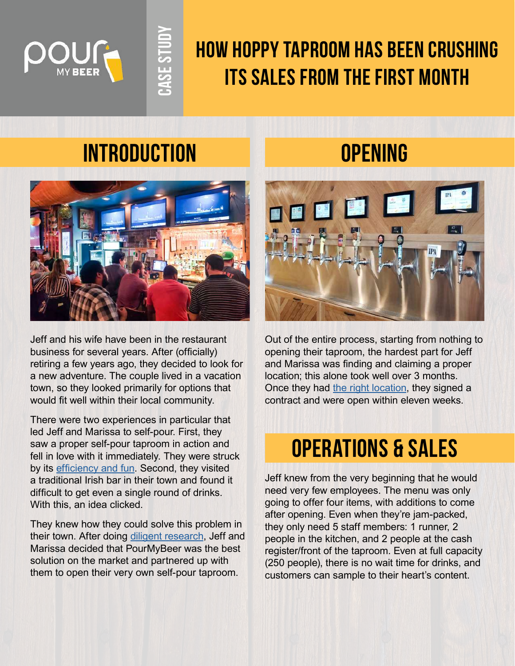

## **How Hoppy Taproom has been crushing its sales from the first month**

## **Introduction Opening**

**Case Study**

**LASE STUD** 



Jeff and his wife have been in the restaurant business for several years. After (officially) retiring a few years ago, they decided to look for a new adventure. The couple lived in a vacation town, so they looked primarily for options that would fit well within their local community.

There were two experiences in particular that led Jeff and Marissa to self-pour. First, they saw a proper self-pour taproom in action and fell in love with it immediately. They were struck by its [efficiency and fun.](https://pourmybeer.com/rise-of-self-serve-beer/ ) Second, they visited a traditional Irish bar in their town and found it difficult to get even a single round of drinks. With this, an idea clicked.

They knew how they could solve this problem in their town. After doing [diligent research](https://pourmybeer.com/why-pourmybeer/), Jeff and Marissa decided that PourMyBeer was the best solution on the market and partnered up with them to open their very own self-pour taproom.



Out of the entire process, starting from nothing to opening their taproom, the hardest part for Jeff and Marissa was finding and claiming a proper location; this alone took well over 3 months. Once they had [the right location](https://pourmybeer.com/how-to-scout-locations-for-self-pour-restaurants-and-bars/), they signed a contract and were open within eleven weeks.

## **operations & sales**

Jeff knew from the very beginning that he would need very few employees. The menu was only going to offer four items, with additions to come after opening. Even when they're jam-packed, they only need 5 staff members: 1 runner, 2 people in the kitchen, and 2 people at the cash register/front of the taproom. Even at full capacity (250 people), there is no wait time for drinks, and customers can sample to their heart's content.